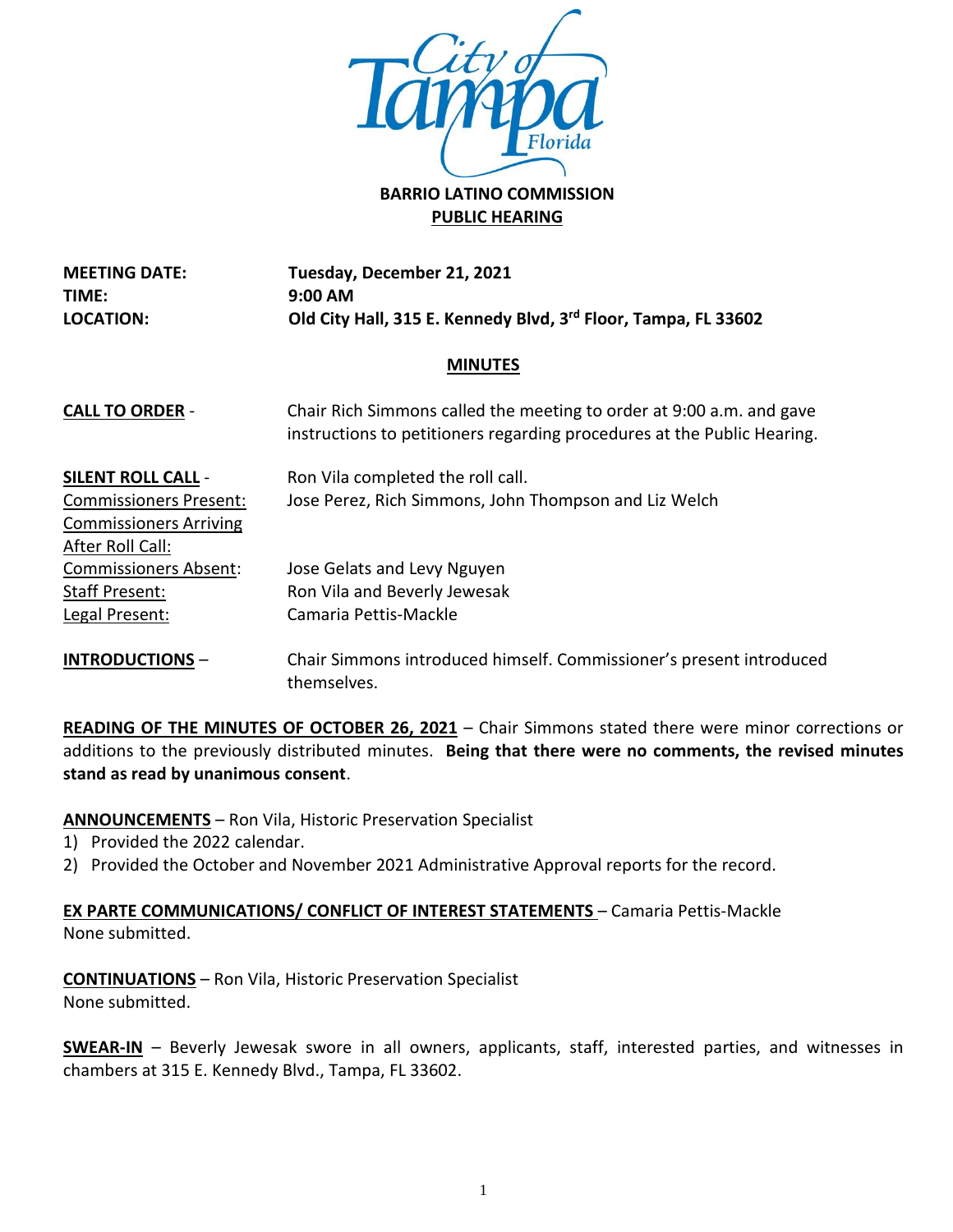

# **BARRIO LATINO COMMISSION PUBLIC HEARING**

**MEETING DATE: TIME: LOCATION: Tuesday, December 21, 2021 9:00 AM Old City Hall, 315 E. Kennedy Blvd, 3rd Floor, Tampa, FL 33602**

# **MINUTES**

| <b>CALL TO ORDER -</b>        | Chair Rich Simmons called the meeting to order at 9:00 a.m. and gave<br>instructions to petitioners regarding procedures at the Public Hearing. |
|-------------------------------|-------------------------------------------------------------------------------------------------------------------------------------------------|
| <b>SILENT ROLL CALL -</b>     | Ron Vila completed the roll call.                                                                                                               |
| <b>Commissioners Present:</b> | Jose Perez, Rich Simmons, John Thompson and Liz Welch                                                                                           |
| <b>Commissioners Arriving</b> |                                                                                                                                                 |
| After Roll Call:              |                                                                                                                                                 |
| <b>Commissioners Absent:</b>  | Jose Gelats and Levy Nguyen                                                                                                                     |
| Staff Present:                | Ron Vila and Beverly Jewesak                                                                                                                    |
| Legal Present:                | Camaria Pettis-Mackle                                                                                                                           |
| $I$ NITRODI ICTIONIC $\equiv$ | Chair Simmons introduced himself Commissioner's present introduced                                                                              |

**INTRODUCTIONS** – Chair Simmons introduced himself. Commissioner's present introduced themselves.

**READING OF THE MINUTES OF OCTOBER 26, 2021** – Chair Simmons stated there were minor corrections or additions to the previously distributed minutes. **Being that there were no comments, the revised minutes stand as read by unanimous consent**.

**ANNOUNCEMENTS** – Ron Vila, Historic Preservation Specialist

- 1) Provided the 2022 calendar.
- 2) Provided the October and November 2021 Administrative Approval reports for the record.

# **EX PARTE COMMUNICATIONS/ CONFLICT OF INTEREST STATEMENTS** – Camaria Pettis-Mackle None submitted.

**CONTINUATIONS** – Ron Vila, Historic Preservation Specialist None submitted.

**SWEAR-IN** – Beverly Jewesak swore in all owners, applicants, staff, interested parties, and witnesses in chambers at 315 E. Kennedy Blvd., Tampa, FL 33602.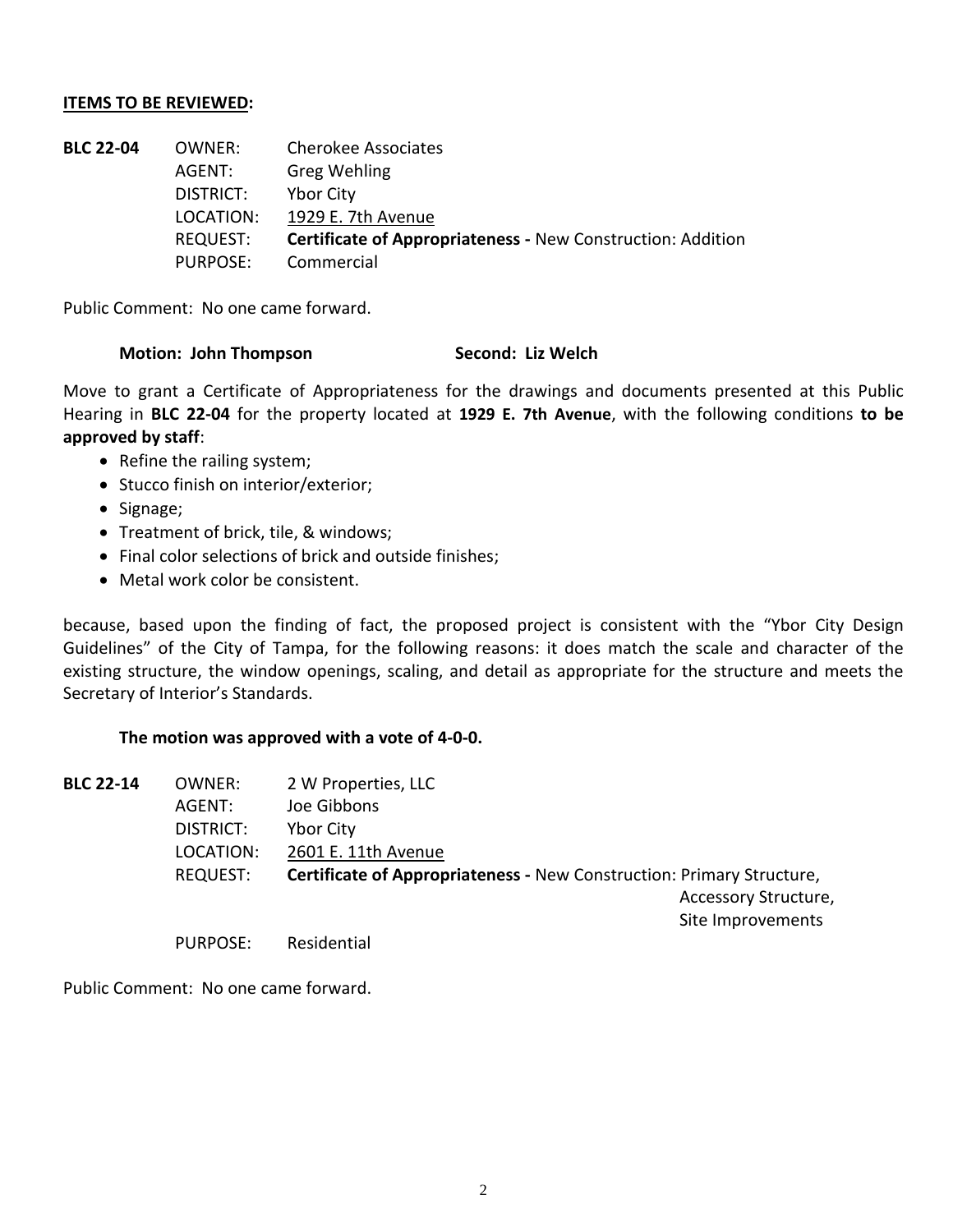#### **ITEMS TO BE REVIEWED:**

| <b>BLC 22-04</b> | OWNER:    | <b>Cherokee Associates</b>                                         |
|------------------|-----------|--------------------------------------------------------------------|
|                  | AGENT:    | <b>Greg Wehling</b>                                                |
|                  | DISTRICT: | <b>Ybor City</b>                                                   |
|                  | LOCATION: | 1929 E. 7th Avenue                                                 |
|                  | REQUEST:  | <b>Certificate of Appropriateness - New Construction: Addition</b> |
|                  | PURPOSE:  | Commercial                                                         |

Public Comment: No one came forward.

#### **Motion: John Thompson Second: Liz Welch**

Move to grant a Certificate of Appropriateness for the drawings and documents presented at this Public Hearing in **BLC 22-04** for the property located at **1929 E. 7th Avenue**, with the following conditions **to be approved by staff**:

- Refine the railing system;
- Stucco finish on interior/exterior;
- Signage;
- Treatment of brick, tile, & windows;
- Final color selections of brick and outside finishes;
- Metal work color be consistent.

because, based upon the finding of fact, the proposed project is consistent with the "Ybor City Design Guidelines" of the City of Tampa, for the following reasons: it does match the scale and character of the existing structure, the window openings, scaling, and detail as appropriate for the structure and meets the Secretary of Interior's Standards.

#### **The motion was approved with a vote of 4-0-0.**

| <b>BLC 22-14</b> | OWNER:          | 2 W Properties, LLC                                                          |
|------------------|-----------------|------------------------------------------------------------------------------|
|                  | AGENT:          | Joe Gibbons                                                                  |
|                  | DISTRICT:       | <b>Ybor City</b>                                                             |
|                  | LOCATION:       | 2601 E. 11th Avenue                                                          |
|                  | <b>REQUEST:</b> | <b>Certificate of Appropriateness - New Construction: Primary Structure,</b> |
|                  |                 | Accessory Structure,                                                         |
|                  |                 | Site Improvements                                                            |
|                  | <b>PURPOSE:</b> | Residential                                                                  |

Public Comment: No one came forward.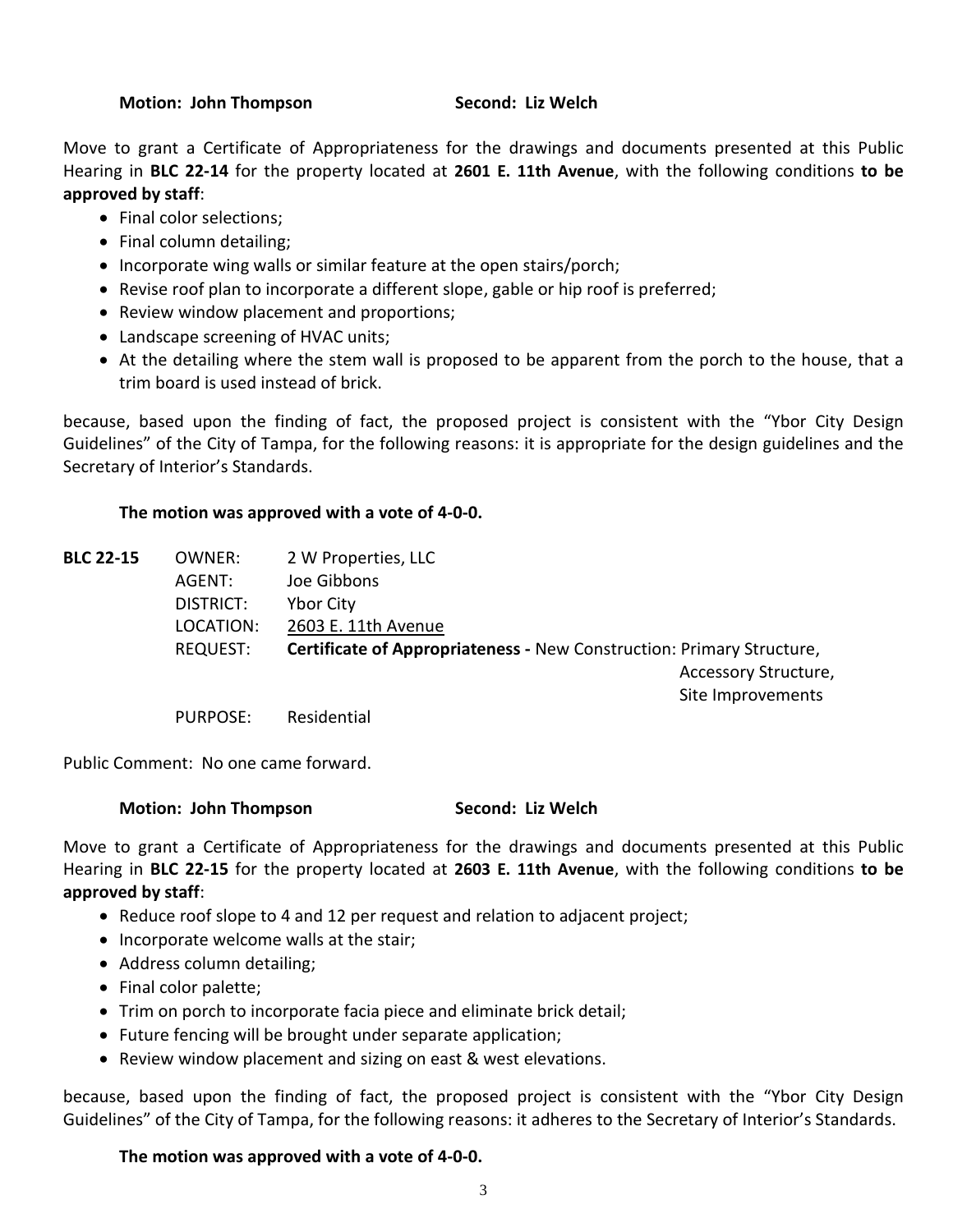#### **Motion: John Thompson Second: Liz Welch**

Move to grant a Certificate of Appropriateness for the drawings and documents presented at this Public Hearing in **BLC 22-14** for the property located at **2601 E. 11th Avenue**, with the following conditions **to be approved by staff**:

- Final color selections;
- Final column detailing;
- Incorporate wing walls or similar feature at the open stairs/porch;
- Revise roof plan to incorporate a different slope, gable or hip roof is preferred;
- Review window placement and proportions;
- Landscape screening of HVAC units;
- At the detailing where the stem wall is proposed to be apparent from the porch to the house, that a trim board is used instead of brick.

because, based upon the finding of fact, the proposed project is consistent with the "Ybor City Design Guidelines" of the City of Tampa, for the following reasons: it is appropriate for the design guidelines and the Secretary of Interior's Standards.

# **The motion was approved with a vote of 4-0-0.**

| <b>BLC 22-15</b> | OWNER:          | 2 W Properties, LLC                                                          |
|------------------|-----------------|------------------------------------------------------------------------------|
|                  | AGENT:          | Joe Gibbons                                                                  |
|                  | DISTRICT:       | <b>Ybor City</b>                                                             |
|                  | LOCATION:       | 2603 E. 11th Avenue                                                          |
|                  | <b>REQUEST:</b> | <b>Certificate of Appropriateness - New Construction: Primary Structure,</b> |
|                  |                 | Accessory Structure,                                                         |
|                  |                 | Site Improvements                                                            |
|                  | <b>PURPOSE:</b> | Residential                                                                  |

Public Comment: No one came forward.

# **Motion: John Thompson Second: Liz Welch**

Move to grant a Certificate of Appropriateness for the drawings and documents presented at this Public Hearing in **BLC 22-15** for the property located at **2603 E. 11th Avenue**, with the following conditions **to be approved by staff**:

- Reduce roof slope to 4 and 12 per request and relation to adjacent project;
- Incorporate welcome walls at the stair;
- Address column detailing;
- Final color palette;
- Trim on porch to incorporate facia piece and eliminate brick detail;
- Future fencing will be brought under separate application;
- Review window placement and sizing on east & west elevations.

because, based upon the finding of fact, the proposed project is consistent with the "Ybor City Design Guidelines" of the City of Tampa, for the following reasons: it adheres to the Secretary of Interior's Standards.

# **The motion was approved with a vote of 4-0-0.**